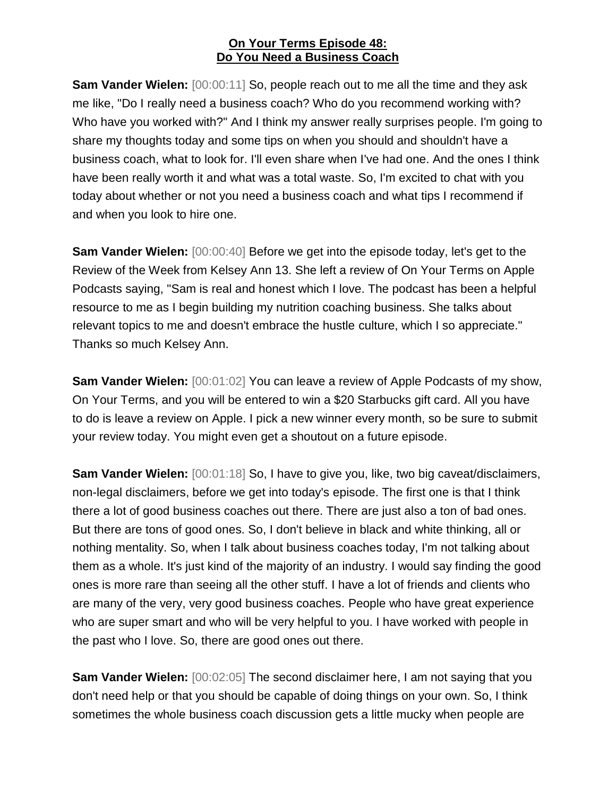**Sam Vander Wielen:**  $[00:00:11]$  So, people reach out to me all the time and they ask me like, "Do I really need a business coach? Who do you recommend working with? Who have you worked with?" And I think my answer really surprises people. I'm going to share my thoughts today and some tips on when you should and shouldn't have a business coach, what to look for. I'll even share when I've had one. And the ones I think have been really worth it and what was a total waste. So, I'm excited to chat with you today about whether or not you need a business coach and what tips I recommend if and when you look to hire one.

**Sam Vander Wielen:**  $[00:00:40]$  Before we get into the episode today, let's get to the Review of the Week from Kelsey Ann 13. She left a review of On Your Terms on Apple Podcasts saying, "Sam is real and honest which I love. The podcast has been a helpful resource to me as I begin building my nutrition coaching business. She talks about relevant topics to me and doesn't embrace the hustle culture, which I so appreciate." Thanks so much Kelsey Ann.

**Sam Vander Wielen:** [00:01:02] You can leave a review of Apple Podcasts of my show, On Your Terms, and you will be entered to win a \$20 Starbucks gift card. All you have to do is leave a review on Apple. I pick a new winner every month, so be sure to submit your review today. You might even get a shoutout on a future episode.

**Sam Vander Wielen:** [00:01:18] So, I have to give you, like, two big caveat/disclaimers, non-legal disclaimers, before we get into today's episode. The first one is that I think there a lot of good business coaches out there. There are just also a ton of bad ones. But there are tons of good ones. So, I don't believe in black and white thinking, all or nothing mentality. So, when I talk about business coaches today, I'm not talking about them as a whole. It's just kind of the majority of an industry. I would say finding the good ones is more rare than seeing all the other stuff. I have a lot of friends and clients who are many of the very, very good business coaches. People who have great experience who are super smart and who will be very helpful to you. I have worked with people in the past who I love. So, there are good ones out there.

**Sam Vander Wielen:** [00:02:05] The second disclaimer here, I am not saying that you don't need help or that you should be capable of doing things on your own. So, I think sometimes the whole business coach discussion gets a little mucky when people are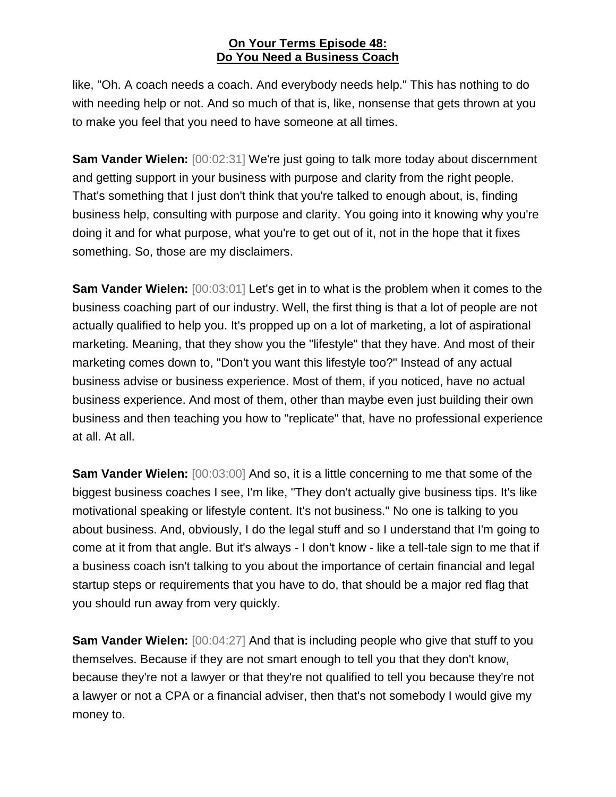like, "Oh. A coach needs a coach. And everybody needs help." This has nothing to do with needing help or not. And so much of that is, like, nonsense that gets thrown at you to make you feel that you need to have someone at all times.

**Sam Vander Wielen:** [00:02:31] We're just going to talk more today about discernment and getting support in your business with purpose and clarity from the right people. That's something that I just don't think that you're talked to enough about, is, finding business help, consulting with purpose and clarity. You going into it knowing why you're doing it and for what purpose, what you're to get out of it, not in the hope that it fixes something. So, those are my disclaimers.

**Sam Vander Wielen:**  $[00:03:01]$  Let's get in to what is the problem when it comes to the business coaching part of our industry. Well, the first thing is that a lot of people are not actually qualified to help you. It's propped up on a lot of marketing, a lot of aspirational marketing. Meaning, that they show you the "lifestyle" that they have. And most of their marketing comes down to, "Don't you want this lifestyle too?" Instead of any actual business advise or business experience. Most of them, if you noticed, have no actual business experience. And most of them, other than maybe even just building their own business and then teaching you how to "replicate" that, have no professional experience at all. At all.

**Sam Vander Wielen:** [00:03:00] And so, it is a little concerning to me that some of the biggest business coaches I see, I'm like, "They don't actually give business tips. It's like motivational speaking or lifestyle content. It's not business." No one is talking to you about business. And, obviously, I do the legal stuff and so I understand that I'm going to come at it from that angle. But it's always - I don't know - like a tell-tale sign to me that if a business coach isn't talking to you about the importance of certain financial and legal startup steps or requirements that you have to do, that should be a major red flag that you should run away from very quickly.

**Sam Vander Wielen:** [00:04:27] And that is including people who give that stuff to you themselves. Because if they are not smart enough to tell you that they don't know, because they're not a lawyer or that they're not qualified to tell you because they're not a lawyer or not a CPA or a financial adviser, then that's not somebody I would give my money to.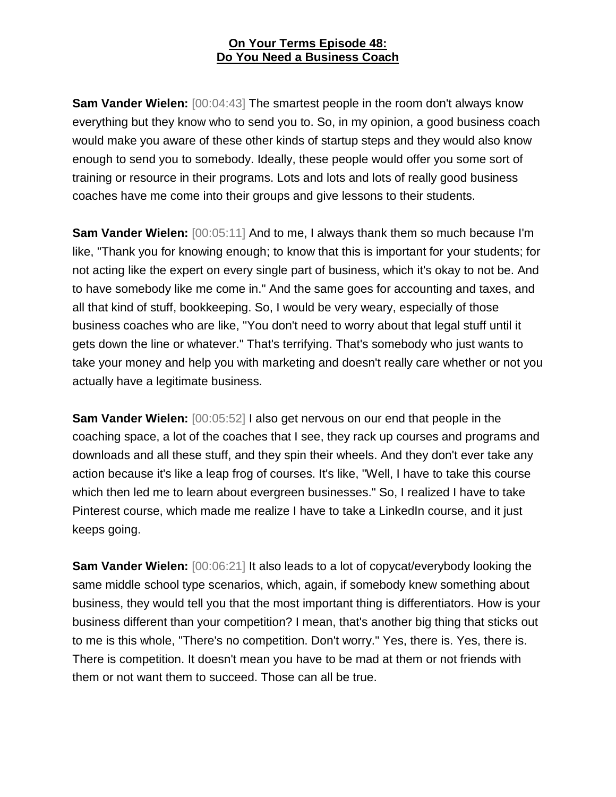**Sam Vander Wielen:** [00:04:43] The smartest people in the room don't always know everything but they know who to send you to. So, in my opinion, a good business coach would make you aware of these other kinds of startup steps and they would also know enough to send you to somebody. Ideally, these people would offer you some sort of training or resource in their programs. Lots and lots and lots of really good business coaches have me come into their groups and give lessons to their students.

**Sam Vander Wielen:** [00:05:11] And to me, I always thank them so much because I'm like, "Thank you for knowing enough; to know that this is important for your students; for not acting like the expert on every single part of business, which it's okay to not be. And to have somebody like me come in." And the same goes for accounting and taxes, and all that kind of stuff, bookkeeping. So, I would be very weary, especially of those business coaches who are like, "You don't need to worry about that legal stuff until it gets down the line or whatever." That's terrifying. That's somebody who just wants to take your money and help you with marketing and doesn't really care whether or not you actually have a legitimate business.

**Sam Vander Wielen:** [00:05:52] I also get nervous on our end that people in the coaching space, a lot of the coaches that I see, they rack up courses and programs and downloads and all these stuff, and they spin their wheels. And they don't ever take any action because it's like a leap frog of courses. It's like, "Well, I have to take this course which then led me to learn about evergreen businesses." So, I realized I have to take Pinterest course, which made me realize I have to take a LinkedIn course, and it just keeps going.

**Sam Vander Wielen:** [00:06:21] It also leads to a lot of copycat/everybody looking the same middle school type scenarios, which, again, if somebody knew something about business, they would tell you that the most important thing is differentiators. How is your business different than your competition? I mean, that's another big thing that sticks out to me is this whole, "There's no competition. Don't worry." Yes, there is. Yes, there is. There is competition. It doesn't mean you have to be mad at them or not friends with them or not want them to succeed. Those can all be true.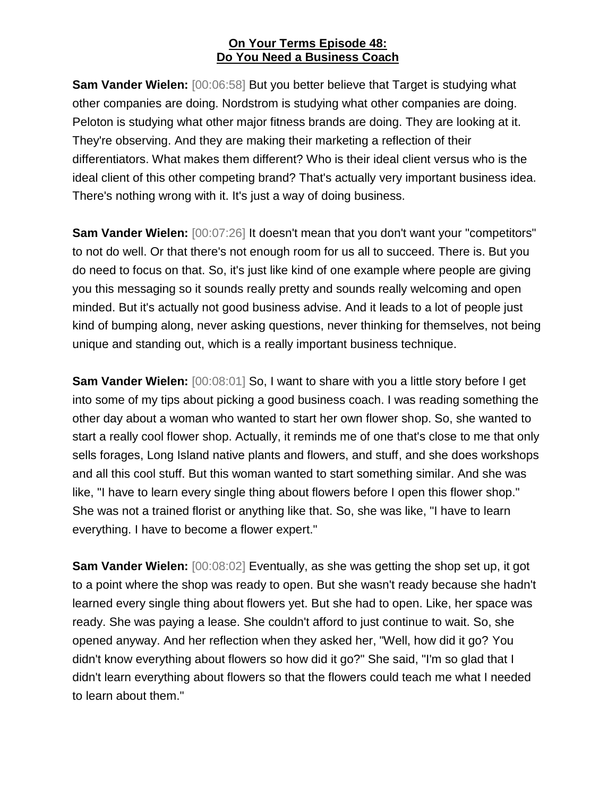**Sam Vander Wielen:** [00:06:58] But you better believe that Target is studying what other companies are doing. Nordstrom is studying what other companies are doing. Peloton is studying what other major fitness brands are doing. They are looking at it. They're observing. And they are making their marketing a reflection of their differentiators. What makes them different? Who is their ideal client versus who is the ideal client of this other competing brand? That's actually very important business idea. There's nothing wrong with it. It's just a way of doing business.

**Sam Vander Wielen:** [00:07:26] It doesn't mean that you don't want your "competitors" to not do well. Or that there's not enough room for us all to succeed. There is. But you do need to focus on that. So, it's just like kind of one example where people are giving you this messaging so it sounds really pretty and sounds really welcoming and open minded. But it's actually not good business advise. And it leads to a lot of people just kind of bumping along, never asking questions, never thinking for themselves, not being unique and standing out, which is a really important business technique.

**Sam Vander Wielen:** [00:08:01] So, I want to share with you a little story before I get into some of my tips about picking a good business coach. I was reading something the other day about a woman who wanted to start her own flower shop. So, she wanted to start a really cool flower shop. Actually, it reminds me of one that's close to me that only sells forages, Long Island native plants and flowers, and stuff, and she does workshops and all this cool stuff. But this woman wanted to start something similar. And she was like, "I have to learn every single thing about flowers before I open this flower shop." She was not a trained florist or anything like that. So, she was like, "I have to learn everything. I have to become a flower expert."

**Sam Vander Wielen:** [00:08:02] Eventually, as she was getting the shop set up, it got to a point where the shop was ready to open. But she wasn't ready because she hadn't learned every single thing about flowers yet. But she had to open. Like, her space was ready. She was paying a lease. She couldn't afford to just continue to wait. So, she opened anyway. And her reflection when they asked her, "Well, how did it go? You didn't know everything about flowers so how did it go?" She said, "I'm so glad that I didn't learn everything about flowers so that the flowers could teach me what I needed to learn about them."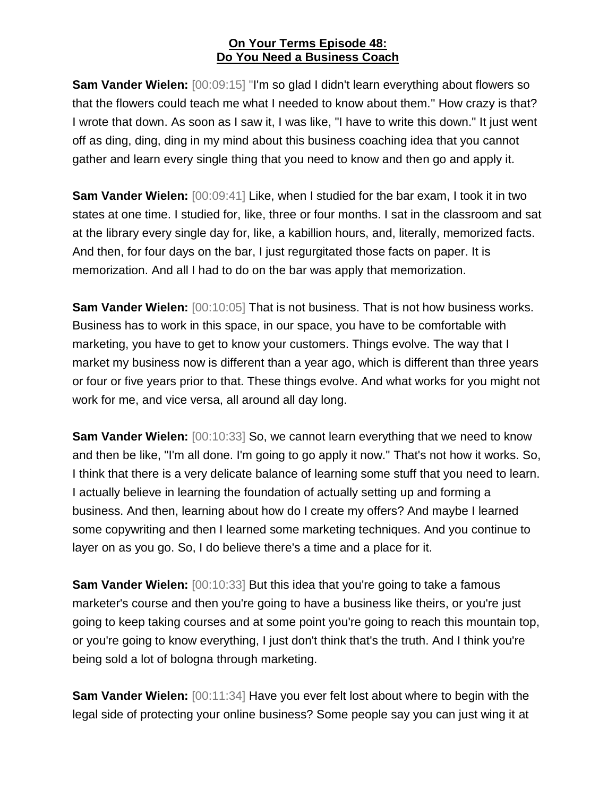**Sam Vander Wielen:** [00:09:15] "I'm so glad I didn't learn everything about flowers so that the flowers could teach me what I needed to know about them." How crazy is that? I wrote that down. As soon as I saw it, I was like, "I have to write this down." It just went off as ding, ding, ding in my mind about this business coaching idea that you cannot gather and learn every single thing that you need to know and then go and apply it.

**Sam Vander Wielen:**  $[00:09:41]$  Like, when I studied for the bar exam, I took it in two states at one time. I studied for, like, three or four months. I sat in the classroom and sat at the library every single day for, like, a kabillion hours, and, literally, memorized facts. And then, for four days on the bar, I just regurgitated those facts on paper. It is memorization. And all I had to do on the bar was apply that memorization.

**Sam Vander Wielen:** [00:10:05] That is not business. That is not how business works. Business has to work in this space, in our space, you have to be comfortable with marketing, you have to get to know your customers. Things evolve. The way that I market my business now is different than a year ago, which is different than three years or four or five years prior to that. These things evolve. And what works for you might not work for me, and vice versa, all around all day long.

**Sam Vander Wielen:** [00:10:33] So, we cannot learn everything that we need to know and then be like, "I'm all done. I'm going to go apply it now." That's not how it works. So, I think that there is a very delicate balance of learning some stuff that you need to learn. I actually believe in learning the foundation of actually setting up and forming a business. And then, learning about how do I create my offers? And maybe I learned some copywriting and then I learned some marketing techniques. And you continue to layer on as you go. So, I do believe there's a time and a place for it.

**Sam Vander Wielen:** [00:10:33] But this idea that you're going to take a famous marketer's course and then you're going to have a business like theirs, or you're just going to keep taking courses and at some point you're going to reach this mountain top, or you're going to know everything, I just don't think that's the truth. And I think you're being sold a lot of bologna through marketing.

**Sam Vander Wielen:** [00:11:34] Have you ever felt lost about where to begin with the legal side of protecting your online business? Some people say you can just wing it at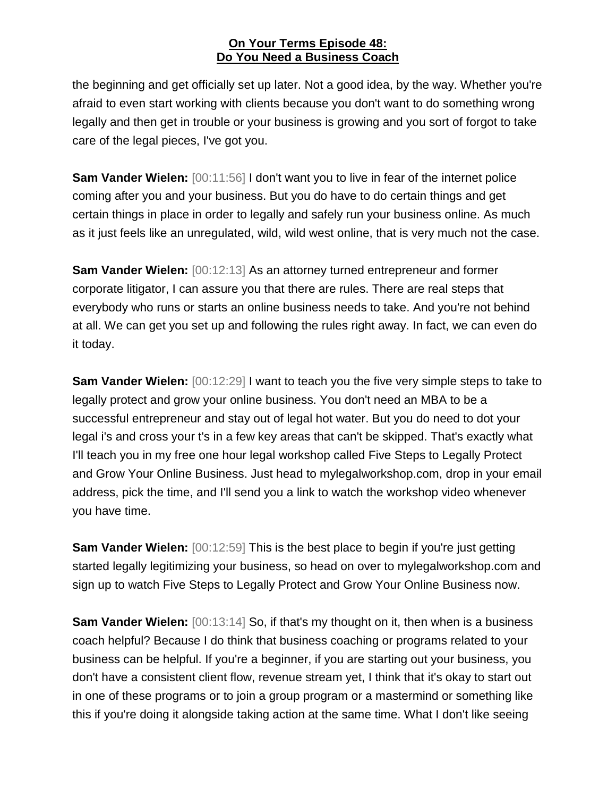the beginning and get officially set up later. Not a good idea, by the way. Whether you're afraid to even start working with clients because you don't want to do something wrong legally and then get in trouble or your business is growing and you sort of forgot to take care of the legal pieces, I've got you.

**Sam Vander Wielen:** [00:11:56] I don't want you to live in fear of the internet police coming after you and your business. But you do have to do certain things and get certain things in place in order to legally and safely run your business online. As much as it just feels like an unregulated, wild, wild west online, that is very much not the case.

**Sam Vander Wielen:** [00:12:13] As an attorney turned entrepreneur and former corporate litigator, I can assure you that there are rules. There are real steps that everybody who runs or starts an online business needs to take. And you're not behind at all. We can get you set up and following the rules right away. In fact, we can even do it today.

**Sam Vander Wielen:** [00:12:29] I want to teach you the five very simple steps to take to legally protect and grow your online business. You don't need an MBA to be a successful entrepreneur and stay out of legal hot water. But you do need to dot your legal i's and cross your t's in a few key areas that can't be skipped. That's exactly what I'll teach you in my free one hour legal workshop called Five Steps to Legally Protect and Grow Your Online Business. Just head to mylegalworkshop.com, drop in your email address, pick the time, and I'll send you a link to watch the workshop video whenever you have time.

**Sam Vander Wielen:** [00:12:59] This is the best place to begin if you're just getting started legally legitimizing your business, so head on over to mylegalworkshop.com and sign up to watch Five Steps to Legally Protect and Grow Your Online Business now.

**Sam Vander Wielen:** [00:13:14] So, if that's my thought on it, then when is a business coach helpful? Because I do think that business coaching or programs related to your business can be helpful. If you're a beginner, if you are starting out your business, you don't have a consistent client flow, revenue stream yet, I think that it's okay to start out in one of these programs or to join a group program or a mastermind or something like this if you're doing it alongside taking action at the same time. What I don't like seeing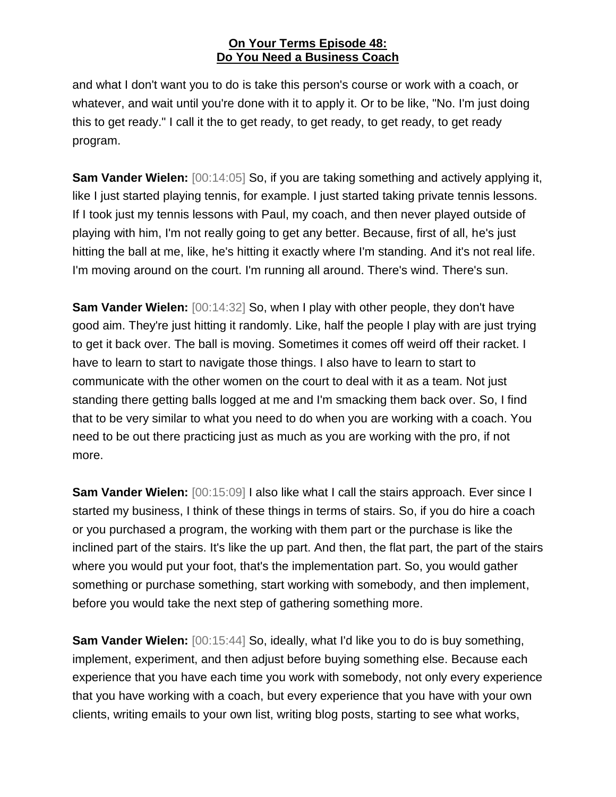and what I don't want you to do is take this person's course or work with a coach, or whatever, and wait until you're done with it to apply it. Or to be like, "No. I'm just doing this to get ready." I call it the to get ready, to get ready, to get ready, to get ready program.

**Sam Vander Wielen:** [00:14:05] So, if you are taking something and actively applying it, like I just started playing tennis, for example. I just started taking private tennis lessons. If I took just my tennis lessons with Paul, my coach, and then never played outside of playing with him, I'm not really going to get any better. Because, first of all, he's just hitting the ball at me, like, he's hitting it exactly where I'm standing. And it's not real life. I'm moving around on the court. I'm running all around. There's wind. There's sun.

**Sam Vander Wielen:** [00:14:32] So, when I play with other people, they don't have good aim. They're just hitting it randomly. Like, half the people I play with are just trying to get it back over. The ball is moving. Sometimes it comes off weird off their racket. I have to learn to start to navigate those things. I also have to learn to start to communicate with the other women on the court to deal with it as a team. Not just standing there getting balls logged at me and I'm smacking them back over. So, I find that to be very similar to what you need to do when you are working with a coach. You need to be out there practicing just as much as you are working with the pro, if not more.

**Sam Vander Wielen:** [00:15:09] I also like what I call the stairs approach. Ever since I started my business, I think of these things in terms of stairs. So, if you do hire a coach or you purchased a program, the working with them part or the purchase is like the inclined part of the stairs. It's like the up part. And then, the flat part, the part of the stairs where you would put your foot, that's the implementation part. So, you would gather something or purchase something, start working with somebody, and then implement, before you would take the next step of gathering something more.

**Sam Vander Wielen:** [00:15:44] So, ideally, what I'd like you to do is buy something, implement, experiment, and then adjust before buying something else. Because each experience that you have each time you work with somebody, not only every experience that you have working with a coach, but every experience that you have with your own clients, writing emails to your own list, writing blog posts, starting to see what works,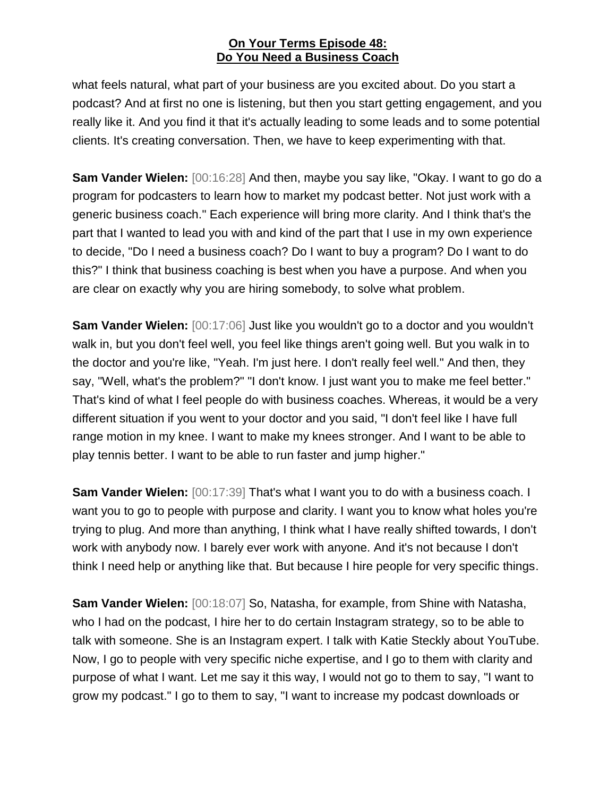what feels natural, what part of your business are you excited about. Do you start a podcast? And at first no one is listening, but then you start getting engagement, and you really like it. And you find it that it's actually leading to some leads and to some potential clients. It's creating conversation. Then, we have to keep experimenting with that.

**Sam Vander Wielen:** [00:16:28] And then, maybe you say like, "Okay. I want to go do a program for podcasters to learn how to market my podcast better. Not just work with a generic business coach." Each experience will bring more clarity. And I think that's the part that I wanted to lead you with and kind of the part that I use in my own experience to decide, "Do I need a business coach? Do I want to buy a program? Do I want to do this?" I think that business coaching is best when you have a purpose. And when you are clear on exactly why you are hiring somebody, to solve what problem.

**Sam Vander Wielen:** [00:17:06] Just like you wouldn't go to a doctor and you wouldn't walk in, but you don't feel well, you feel like things aren't going well. But you walk in to the doctor and you're like, "Yeah. I'm just here. I don't really feel well." And then, they say, "Well, what's the problem?" "I don't know. I just want you to make me feel better." That's kind of what I feel people do with business coaches. Whereas, it would be a very different situation if you went to your doctor and you said, "I don't feel like I have full range motion in my knee. I want to make my knees stronger. And I want to be able to play tennis better. I want to be able to run faster and jump higher."

**Sam Vander Wielen:** [00:17:39] That's what I want you to do with a business coach. I want you to go to people with purpose and clarity. I want you to know what holes you're trying to plug. And more than anything, I think what I have really shifted towards, I don't work with anybody now. I barely ever work with anyone. And it's not because I don't think I need help or anything like that. But because I hire people for very specific things.

**Sam Vander Wielen:** [00:18:07] So, Natasha, for example, from Shine with Natasha, who I had on the podcast, I hire her to do certain Instagram strategy, so to be able to talk with someone. She is an Instagram expert. I talk with Katie Steckly about YouTube. Now, I go to people with very specific niche expertise, and I go to them with clarity and purpose of what I want. Let me say it this way, I would not go to them to say, "I want to grow my podcast." I go to them to say, "I want to increase my podcast downloads or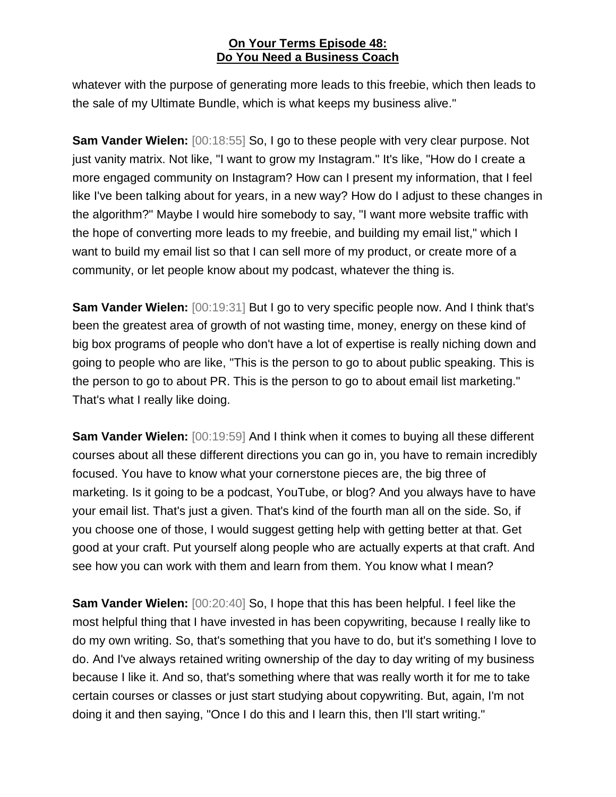whatever with the purpose of generating more leads to this freebie, which then leads to the sale of my Ultimate Bundle, which is what keeps my business alive."

**Sam Vander Wielen:** [00:18:55] So, I go to these people with very clear purpose. Not just vanity matrix. Not like, "I want to grow my Instagram." It's like, "How do I create a more engaged community on Instagram? How can I present my information, that I feel like I've been talking about for years, in a new way? How do I adjust to these changes in the algorithm?" Maybe I would hire somebody to say, "I want more website traffic with the hope of converting more leads to my freebie, and building my email list," which I want to build my email list so that I can sell more of my product, or create more of a community, or let people know about my podcast, whatever the thing is.

**Sam Vander Wielen:** [00:19:31] But I go to very specific people now. And I think that's been the greatest area of growth of not wasting time, money, energy on these kind of big box programs of people who don't have a lot of expertise is really niching down and going to people who are like, "This is the person to go to about public speaking. This is the person to go to about PR. This is the person to go to about email list marketing." That's what I really like doing.

**Sam Vander Wielen:** [00:19:59] And I think when it comes to buying all these different courses about all these different directions you can go in, you have to remain incredibly focused. You have to know what your cornerstone pieces are, the big three of marketing. Is it going to be a podcast, YouTube, or blog? And you always have to have your email list. That's just a given. That's kind of the fourth man all on the side. So, if you choose one of those, I would suggest getting help with getting better at that. Get good at your craft. Put yourself along people who are actually experts at that craft. And see how you can work with them and learn from them. You know what I mean?

**Sam Vander Wielen:** [00:20:40] So, I hope that this has been helpful. I feel like the most helpful thing that I have invested in has been copywriting, because I really like to do my own writing. So, that's something that you have to do, but it's something I love to do. And I've always retained writing ownership of the day to day writing of my business because I like it. And so, that's something where that was really worth it for me to take certain courses or classes or just start studying about copywriting. But, again, I'm not doing it and then saying, "Once I do this and I learn this, then I'll start writing."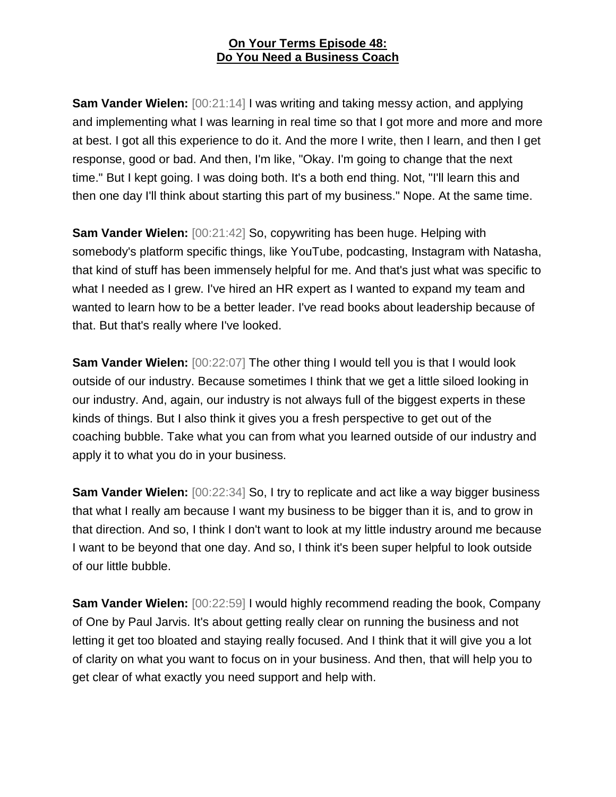**Sam Vander Wielen:** [00:21:14] I was writing and taking messy action, and applying and implementing what I was learning in real time so that I got more and more and more at best. I got all this experience to do it. And the more I write, then I learn, and then I get response, good or bad. And then, I'm like, "Okay. I'm going to change that the next time." But I kept going. I was doing both. It's a both end thing. Not, "I'll learn this and then one day I'll think about starting this part of my business." Nope. At the same time.

**Sam Vander Wielen:** [00:21:42] So, copywriting has been huge. Helping with somebody's platform specific things, like YouTube, podcasting, Instagram with Natasha, that kind of stuff has been immensely helpful for me. And that's just what was specific to what I needed as I grew. I've hired an HR expert as I wanted to expand my team and wanted to learn how to be a better leader. I've read books about leadership because of that. But that's really where I've looked.

**Sam Vander Wielen:** [00:22:07] The other thing I would tell you is that I would look outside of our industry. Because sometimes I think that we get a little siloed looking in our industry. And, again, our industry is not always full of the biggest experts in these kinds of things. But I also think it gives you a fresh perspective to get out of the coaching bubble. Take what you can from what you learned outside of our industry and apply it to what you do in your business.

**Sam Vander Wielen:** [00:22:34] So, I try to replicate and act like a way bigger business that what I really am because I want my business to be bigger than it is, and to grow in that direction. And so, I think I don't want to look at my little industry around me because I want to be beyond that one day. And so, I think it's been super helpful to look outside of our little bubble.

**Sam Vander Wielen:** [00:22:59] I would highly recommend reading the book, Company of One by Paul Jarvis. It's about getting really clear on running the business and not letting it get too bloated and staying really focused. And I think that it will give you a lot of clarity on what you want to focus on in your business. And then, that will help you to get clear of what exactly you need support and help with.